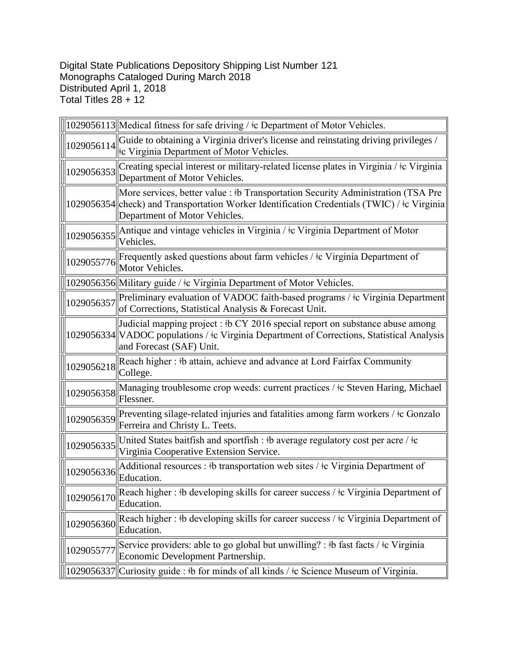Digital State Publications Depository Shipping List Number 121 Monographs Cataloged During March 2018 Distributed April 1, 2018 Total Titles 28 + 12

|            | 1029056113  Medical fitness for safe driving / ‡c Department of Motor Vehicles.                                                                                                                                  |
|------------|------------------------------------------------------------------------------------------------------------------------------------------------------------------------------------------------------------------|
| 1029056114 | Guide to obtaining a Virginia driver's license and reinstating driving privileges /<br>the Virginia Department of Motor Vehicles.                                                                                |
| 1029056353 | Creating special interest or military-related license plates in Virginia / $\pm c$ Virginia<br>Department of Motor Vehicles.                                                                                     |
|            | More services, better value : #b Transportation Security Administration (TSA Pre<br>1029056354 check) and Transportation Worker Identification Credentials (TWIC) / ‡c Virginia<br>Department of Motor Vehicles. |
| 1029056355 | Antique and vintage vehicles in Virginia / ‡c Virginia Department of Motor<br>Vehicles.                                                                                                                          |
| 1029055776 | Frequently asked questions about farm vehicles / ‡c Virginia Department of<br>Motor Vehicles.                                                                                                                    |
|            | 1029056356  Military guide / ‡c Virginia Department of Motor Vehicles.                                                                                                                                           |
| 1029056357 | Preliminary evaluation of VADOC faith-based programs / ‡c Virginia Department<br>of Corrections, Statistical Analysis & Forecast Unit.                                                                           |
|            | Judicial mapping project : $\frac{1}{2016}$ special report on substance abuse among<br>1029056334 VADOC populations / ‡c Virginia Department of Corrections, Statistical Analysis<br>and Forecast (SAF) Unit.    |
| 1029056218 | Reach higher: #b attain, achieve and advance at Lord Fairfax Community<br>College.                                                                                                                               |
| 1029056358 | Managing troublesome crop weeds: current practices / ‡c Steven Haring, Michael<br>Flessner.                                                                                                                      |
| 1029056359 | Preventing silage-related injuries and fatalities among farm workers / ‡c Gonzalo<br>Ferreira and Christy L. Teets.                                                                                              |
| 1029056335 | United States baitfish and sportfish : #b average regulatory cost per acre / $\pm c$<br>Virginia Cooperative Extension Service.                                                                                  |
| 1029056336 | Additional resources : #b transportation web sites / $\pm$ c Virginia Department of<br>Education.                                                                                                                |
| 1029056170 | Reach higher : #b developing skills for career success / $\pm c$ Virginia Department of<br>Education.                                                                                                            |
| 1029056360 | Reach higher: #b developing skills for career success / $\pm c$ Virginia Department of<br>Education.                                                                                                             |
| 1029055777 | Service providers: able to go global but unwilling? : #b fast facts / $\pm$ Virginia<br>Economic Development Partnership.                                                                                        |
| 1029056337 | Curiosity guide : #b for minds of all kinds / $\pm$ Science Museum of Virginia.                                                                                                                                  |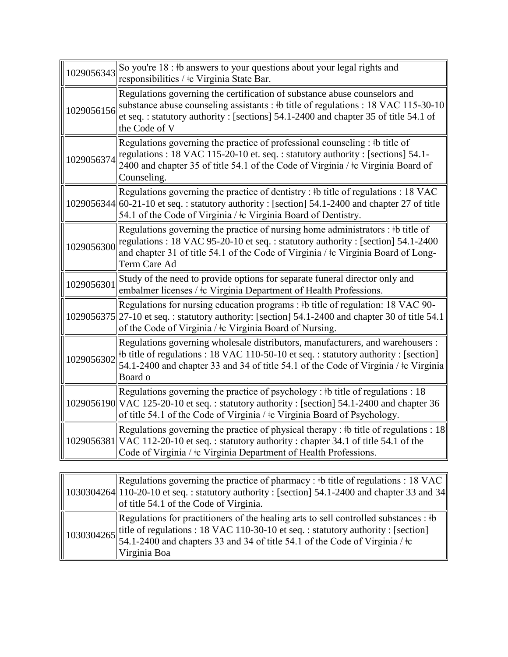| 1029056343 | So you're 18 : #b answers to your questions about your legal rights and<br>responsibilities / ‡c Virginia State Bar.                                                                                                                                                                         |
|------------|----------------------------------------------------------------------------------------------------------------------------------------------------------------------------------------------------------------------------------------------------------------------------------------------|
| 1029056156 | Regulations governing the certification of substance abuse counselors and<br>substance abuse counseling assistants : $\frac{1}{2}$ title of regulations : 18 VAC 115-30-10<br>et seq.: statutory authority: [sections] 54.1-2400 and chapter 35 of title 54.1 of<br>the Code of V            |
| 1029056374 | Regulations governing the practice of professional counseling : #b title of<br>regulations : 18 VAC 115-20-10 et. seq. : statutory authority : [sections] 54.1-<br>2400 and chapter 35 of title 54.1 of the Code of Virginia / $\pm c$ Virginia Board of<br>Counseling.                      |
|            | Regulations governing the practice of dentistry : #b title of regulations : 18 VAC<br>1029056344 60-21-10 et seq.: statutory authority: [section] 54.1-2400 and chapter 27 of title<br>54.1 of the Code of Virginia / ‡c Virginia Board of Dentistry.                                        |
| 1029056300 | Regulations governing the practice of nursing home administrators : $\frac{1}{2}$ title of<br>regulations : 18 VAC 95-20-10 et seq. : statutory authority : [section] $54.1$ -2400<br>and chapter 31 of title 54.1 of the Code of Virginia / $\pm c$ Virginia Board of Long-<br>Term Care Ad |
| 1029056301 | Study of the need to provide options for separate funeral director only and<br>embalmer licenses / ‡c Virginia Department of Health Professions.                                                                                                                                             |
|            | Regulations for nursing education programs : #b title of regulation: 18 VAC 90-<br>1029056375  27-10 et seq.: statutory authority: [section] 54.1-2400 and chapter 30 of title 54.1<br>of the Code of Virginia / ‡c Virginia Board of Nursing.                                               |
| 1029056302 | Regulations governing wholesale distributors, manufacturers, and warehousers :<br>$\#$ b title of regulations : 18 VAC 110-50-10 et seq. : statutory authority : [section]<br>54.1-2400 and chapter 33 and 34 of title 54.1 of the Code of Virginia / $\pm c$ Virginia<br>Board o            |
|            | Regulations governing the practice of psychology : #b title of regulations : 18<br>1029056190 VAC 125-20-10 et seq.: statutory authority: [section] 54.1-2400 and chapter 36<br>of title 54.1 of the Code of Virginia / ‡c Virginia Board of Psychology.                                     |
|            | Regulations governing the practice of physical therapy : $\frac{1}{2}$ to title of regulations : 18<br>1029056381 VAC 112-20-10 et seq.: statutory authority: chapter 34.1 of title 54.1 of the<br>Code of Virginia / ‡c Virginia Department of Health Professions.                          |

|  | Regulations governing the practice of pharmacy : #b title of regulations : 18 VAC<br>$\ $ 1030304264 $\ $ 110-20-10 et seq.: statutory authority : [section] 54.1-2400 and chapter 33 and 34<br>lof title 54.1 of the Code of Virginia.                                                                              |
|--|----------------------------------------------------------------------------------------------------------------------------------------------------------------------------------------------------------------------------------------------------------------------------------------------------------------------|
|  | Regulations for practitioners of the healing arts to sell controlled substances : $\dagger b$<br>$\ $ 1030304265 title of regulations : 18 VAC 110-30-10 et seq. : statutory authority : [section]<br>$\ $ 1030304265 54.1-2400 and chapters 33 and 34 of title 54.1 of the Code of Virginia / $\pm$<br>Virginia Boa |